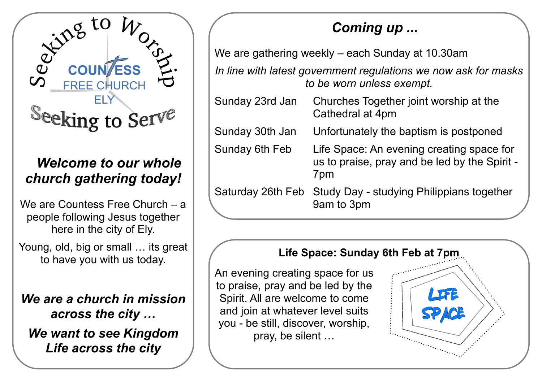

## *Welcome to our whole church gathering today!*

We are Countess Free Church – a people following Jesus together here in the city of Ely.

Young, old, big or small ... its great to have you with us today.

*We are a church in mission across the city … We want to see Kingdom Life across the city*

# *Coming up ...*

We are gathering weekly – each Sunday at 10.30am

*In line with latest government regulations we now ask for masks to be worn unless exempt.*

Sunday 23rd Jan Churches Together joint worship at the Cathedral at 4pm Sunday 30th Jan Unfortunately the baptism is postponed Sunday 6th Feb Life Space: An evening creating space for us to praise, pray and be led by the Spirit - 7pm Saturday 26th Feb Study Day - studying Philippians together 9am to 3pm

### **Life Space: Sunday 6th Feb at 7pm**

An evening creating space for us to praise, pray and be led by the Spirit. All are welcome to come and join at whatever level suits you - be still, discover, worship, pray, be silent …